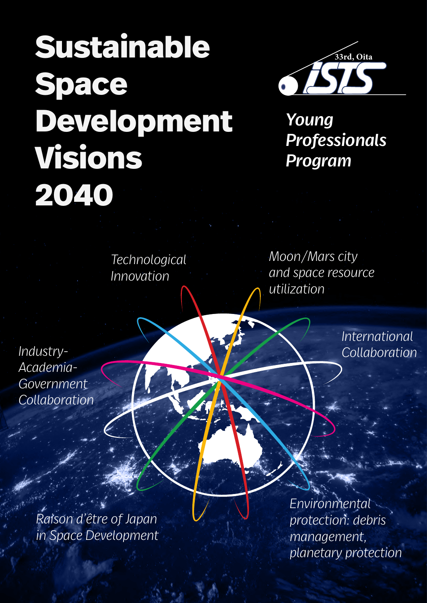# **Sustainable Space Development Visions 2040**



*Young Professionals Program*

*Technological Innovation*

*Moon/Mars city and space resource utilization*

*International Industry- Collaboration*

*Academia-Government Collaboration*

> *Raison d'être of Japan in Space Development*

*Environmental protection: debris management, planetary protection*